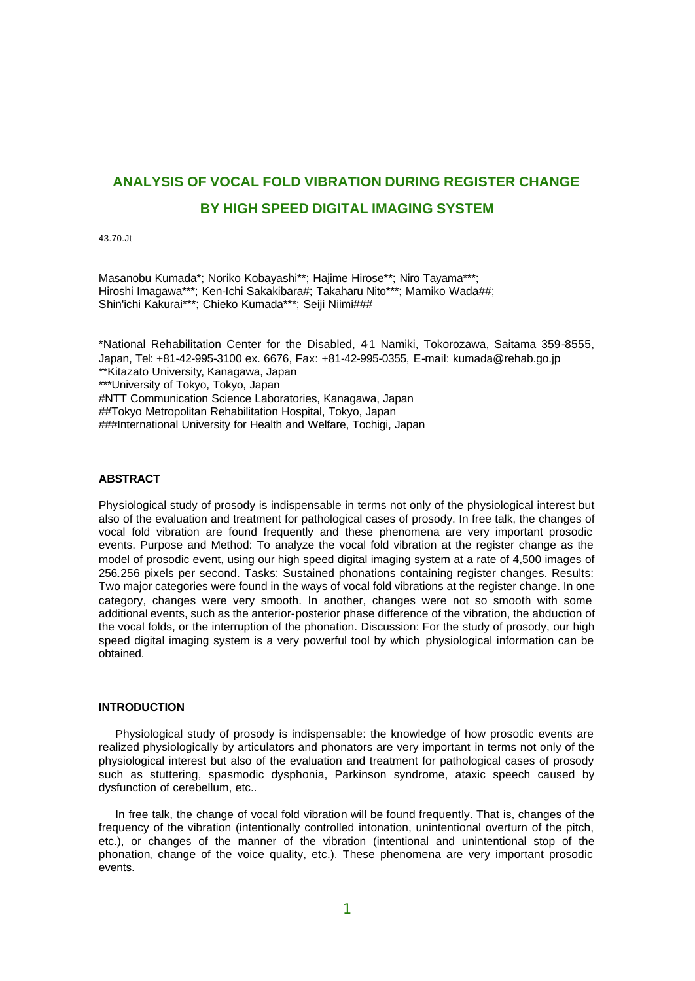# **ANALYSIS OF VOCAL FOLD VIBRATION DURING REGISTER CHANGE BY HIGH SPEED DIGITAL IMAGING SYSTEM**

43.70.Jt

Masanobu Kumada\*; Noriko Kobayashi\*\*; Hajime Hirose\*\*; Niro Tayama\*\*\*; Hiroshi Imagawa\*\*\*; Ken-Ichi Sakakibara#; Takaharu Nito\*\*\*; Mamiko Wada##; Shin'ichi Kakurai\*\*\*; Chieko Kumada\*\*\*; Seiji Niimi###

\*National Rehabilitation Center for the Disabled, 41 Namiki, Tokorozawa, Saitama 359-8555, Japan, Tel: +81-42-995-3100 ex. 6676, Fax: +81-42-995-0355, E-mail: kumada@rehab.go.jp \*\*Kitazato University, Kanagawa, Japan \*\*\*University of Tokyo, Tokyo, Japan #NTT Communication Science Laboratories, Kanagawa, Japan ##Tokyo Metropolitan Rehabilitation Hospital, Tokyo, Japan ###International University for Health and Welfare, Tochigi, Japan

# **ABSTRACT**

Physiological study of prosody is indispensable in terms not only of the physiological interest but also of the evaluation and treatment for pathological cases of prosody. In free talk, the changes of vocal fold vibration are found frequently and these phenomena are very important prosodic events. Purpose and Method: To analyze the vocal fold vibration at the register change as the model of prosodic event, using our high speed digital imaging system at a rate of 4,500 images of 256 256 pixels per second. Tasks: Sustained phonations containing register changes. Results: Two major categories were found in the ways of vocal fold vibrations at the register change. In one category, changes were very smooth. In another, changes were not so smooth with some additional events, such as the anterior-posterior phase difference of the vibration, the abduction of the vocal folds, or the interruption of the phonation. Discussion: For the study of prosody, our high speed digital imaging system is a very powerful tool by which physiological information can be obtained.

## **INTRODUCTION**

Physiological study of prosody is indispensable: the knowledge of how prosodic events are realized physiologically by articulators and phonators are very important in terms not only of the physiological interest but also of the evaluation and treatment for pathological cases of prosody such as stuttering, spasmodic dysphonia, Parkinson syndrome, ataxic speech caused by dysfunction of cerebellum, etc..

In free talk, the change of vocal fold vibration will be found frequently. That is, changes of the frequency of the vibration (intentionally controlled intonation, unintentional overturn of the pitch, etc.), or changes of the manner of the vibration (intentional and unintentional stop of the phonation, change of the voice quality, etc.). These phenomena are very important prosodic events.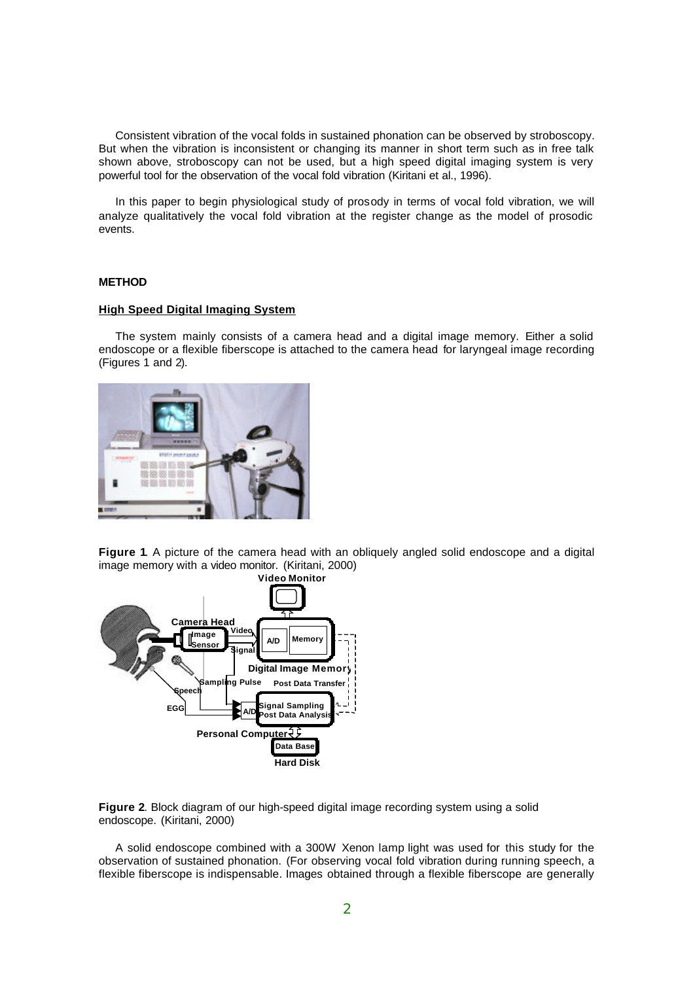Consistent vibration of the vocal folds in sustained phonation can be observed by stroboscopy. But when the vibration is inconsistent or changing its manner in short term such as in free talk shown above, stroboscopy can not be used, but a high speed digital imaging system is very powerful tool for the observation of the vocal fold vibration (Kiritani et al., 1996).

In this paper to begin physiological study of prosody in terms of vocal fold vibration, we will analyze qualitatively the vocal fold vibration at the register change as the model of prosodic events.

## **METHOD**

#### **High Speed Digital Imaging System**

The system mainly consists of a camera head and a digital image memory. Either a solid endoscope or a flexible fiberscope is attached to the camera head for laryngeal image recording (Figures 1 and 2).



**Figure 1**. A picture of the camera head with an obliquely angled solid endoscope and a digital image memory with a video monitor. (Kiritani, 2000)



**Figure 2**. Block diagram of our high-speed digital image recording system using a solid endoscope. (Kiritani, 2000)

A solid endoscope combined with a 300W Xenon lamp light was used for this study for the observation of sustained phonation. (For observing vocal fold vibration during running speech, a flexible fiberscope is indispensable. Images obtained through a flexible fiberscope are generally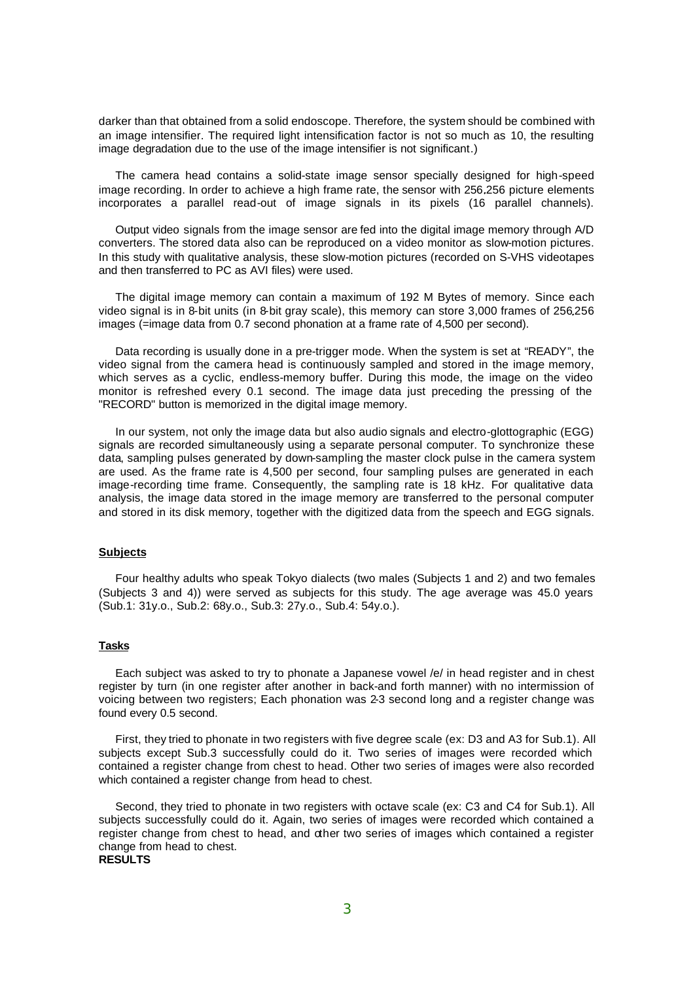darker than that obtained from a solid endoscope. Therefore, the system should be combined with an image intensifier. The required light intensification factor is not so much as 10, the resulting image degradation due to the use of the image intensifier is not significant.)

The camera head contains a solid-state image sensor specially designed for high-speed image recording. In order to achieve a high frame rate, the sensor with 256.256 picture elements incorporates a parallel read-out of image signals in its pixels (16 parallel channels).

Output video signals from the image sensor are fed into the digital image memory through A/D converters. The stored data also can be reproduced on a video monitor as slow-motion pictures. In this study with qualitative analysis, these slow-motion pictures (recorded on S-VHS videotapes and then transferred to PC as AVI files) were used.

The digital image memory can contain a maximum of 192 M Bytes of memory. Since each video signal is in 8-bit units (in 8-bit gray scale), this memory can store 3,000 frames of 256 256 images (=image data from 0.7 second phonation at a frame rate of 4,500 per second).

Data recording is usually done in a pre-trigger mode. When the system is set at "READY", the video signal from the camera head is continuously sampled and stored in the image memory, which serves as a cyclic, endless-memory buffer. During this mode, the image on the video monitor is refreshed every 0.1 second. The image data just preceding the pressing of the "RECORD" button is memorized in the digital image memory.

In our system, not only the image data but also audio signals and electro-glottographic (EGG) signals are recorded simultaneously using a separate personal computer. To synchronize these data, sampling pulses generated by down-sampling the master clock pulse in the camera system are used. As the frame rate is 4,500 per second, four sampling pulses are generated in each image-recording time frame. Consequently, the sampling rate is 18 kHz. For qualitative data analysis, the image data stored in the image memory are transferred to the personal computer and stored in its disk memory, together with the digitized data from the speech and EGG signals.

#### **Subjects**

Four healthy adults who speak Tokyo dialects (two males (Subjects 1 and 2) and two females (Subjects 3 and 4)) were served as subjects for this study. The age average was 45.0 years (Sub.1: 31y.o., Sub.2: 68y.o., Sub.3: 27y.o., Sub.4: 54y.o.).

## **Tasks**

Each subject was asked to try to phonate a Japanese vowel /e/ in head register and in chest register by turn (in one register after another in back-and forth manner) with no intermission of voicing between two registers; Each phonation was 2-3 second long and a register change was found every 0.5 second.

First, they tried to phonate in two registers with five degree scale (ex: D3 and A3 for Sub.1). All subjects except Sub.3 successfully could do it. Two series of images were recorded which contained a register change from chest to head. Other two series of images were also recorded which contained a register change from head to chest.

Second, they tried to phonate in two registers with octave scale (ex: C3 and C4 for Sub.1). All subjects successfully could do it. Again, two series of images were recorded which contained a register change from chest to head, and other two series of images which contained a register change from head to chest. **RESULTS**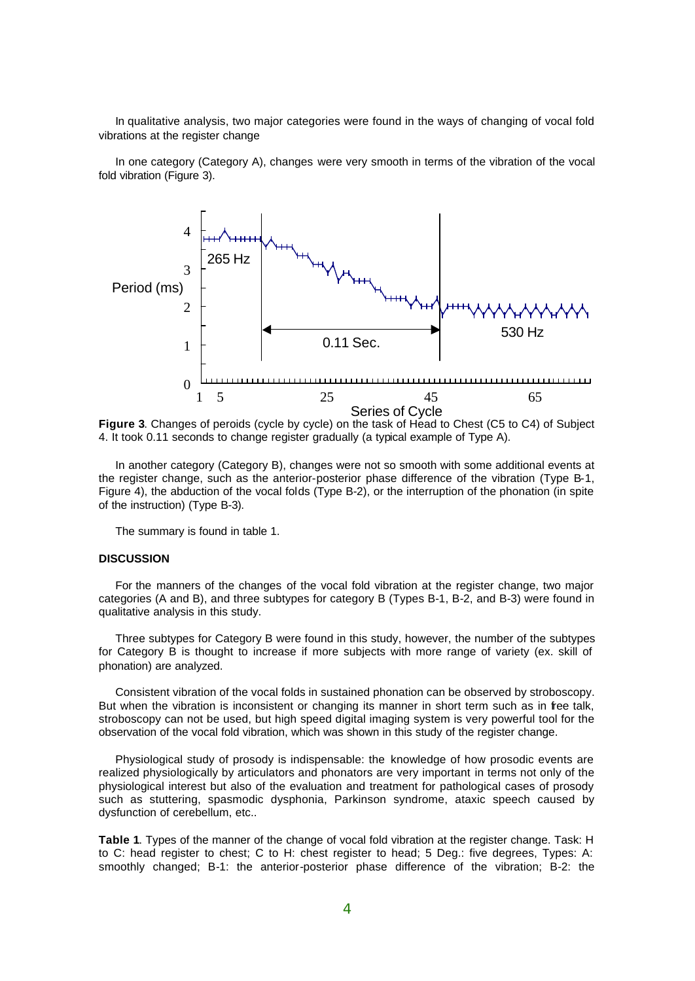In qualitative analysis, two major categories were found in the ways of changing of vocal fold vibrations at the register change

In one category (Category A), changes were very smooth in terms of the vibration of the vocal fold vibration (Figure 3).



**Figure 3**. Changes of peroids (cycle by cycle) on the task of Head to Chest (C5 to C4) of Subject 4. It took 0.11 seconds to change register gradually (a typical example of Type A).

In another category (Category B), changes were not so smooth with some additional events at the register change, such as the anterior-posterior phase difference of the vibration (Type B-1, Figure 4), the abduction of the vocal folds (Type B-2), or the interruption of the phonation (in spite of the instruction) (Type B-3).

The summary is found in table 1.

#### **DISCUSSION**

For the manners of the changes of the vocal fold vibration at the register change, two major categories (A and B), and three subtypes for category B (Types B-1, B-2, and B-3) were found in qualitative analysis in this study.

Three subtypes for Category B were found in this study, however, the number of the subtypes for Category B is thought to increase if more subjects with more range of variety (ex. skill of phonation) are analyzed.

Consistent vibration of the vocal folds in sustained phonation can be observed by stroboscopy. But when the vibration is inconsistent or changing its manner in short term such as in free talk, stroboscopy can not be used, but high speed digital imaging system is very powerful tool for the observation of the vocal fold vibration, which was shown in this study of the register change.

Physiological study of prosody is indispensable: the knowledge of how prosodic events are realized physiologically by articulators and phonators are very important in terms not only of the physiological interest but also of the evaluation and treatment for pathological cases of prosody such as stuttering, spasmodic dysphonia, Parkinson syndrome, ataxic speech caused by dysfunction of cerebellum, etc..

**Table 1**. Types of the manner of the change of vocal fold vibration at the register change. Task: H to C: head register to chest; C to H: chest register to head; 5 Deg.: five degrees, Types: A: smoothly changed; B-1: the anterior-posterior phase difference of the vibration; B-2: the